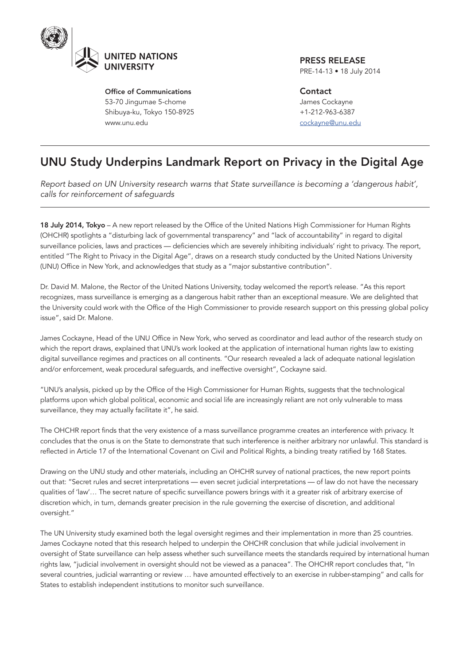

Office of Communications 53-70 Jingumae 5-chome Shibuya-ku, Tokyo 150-8925 www.unu.edu

PRESS RELEASE PRE-14-13 • 18 July 2014

**Contact** James Cockayne +1-212-963-6387 cockayne@unu.edu

## UNU Study Underpins Landmark Report on Privacy in the Digital Age

*Report based on UN University research warns that State surveillance is becoming a 'dangerous habit', calls for reinforcement of safeguards*

18 July 2014, Tokyo - A new report released by the Office of the United Nations High Commissioner for Human Rights (OHCHR) spotlights a "disturbing lack of governmental transparency" and "lack of accountability" in regard to digital surveillance policies, laws and practices — deficiencies which are severely inhibiting individuals' right to privacy. The report, entitled "The Right to Privacy in the Digital Age", draws on a research study conducted by the United Nations University (UNU) Office in New York, and acknowledges that study as a "major substantive contribution".

Dr. David M. Malone, the Rector of the United Nations University, today welcomed the report's release. "As this report recognizes, mass surveillance is emerging as a dangerous habit rather than an exceptional measure. We are delighted that the University could work with the Office of the High Commissioner to provide research support on this pressing global policy issue", said Dr. Malone.

James Cockayne, Head of the UNU Office in New York, who served as coordinator and lead author of the research study on which the report draws, explained that UNU's work looked at the application of international human rights law to existing digital surveillance regimes and practices on all continents. "Our research revealed a lack of adequate national legislation and/or enforcement, weak procedural safeguards, and ineffective oversight", Cockayne said.

"UNU's analysis, picked up by the Office of the High Commissioner for Human Rights, suggests that the technological platforms upon which global political, economic and social life are increasingly reliant are not only vulnerable to mass surveillance, they may actually facilitate it", he said.

The OHCHR report finds that the very existence of a mass surveillance programme creates an interference with privacy. It concludes that the onus is on the State to demonstrate that such interference is neither arbitrary nor unlawful. This standard is reflected in Article 17 of the International Covenant on Civil and Political Rights, a binding treaty ratified by 168 States.

Drawing on the UNU study and other materials, including an OHCHR survey of national practices, the new report points out that: "Secret rules and secret interpretations — even secret judicial interpretations — of law do not have the necessary qualities of 'law'… The secret nature of specific surveillance powers brings with it a greater risk of arbitrary exercise of discretion which, in turn, demands greater precision in the rule governing the exercise of discretion, and additional oversight."

The UN University study examined both the legal oversight regimes and their implementation in more than 25 countries. James Cockayne noted that this research helped to underpin the OHCHR conclusion that while judicial involvement in oversight of State surveillance can help assess whether such surveillance meets the standards required by international human rights law, "judicial involvement in oversight should not be viewed as a panacea". The OHCHR report concludes that, "In several countries, judicial warranting or review … have amounted effectively to an exercise in rubber-stamping" and calls for States to establish independent institutions to monitor such surveillance.